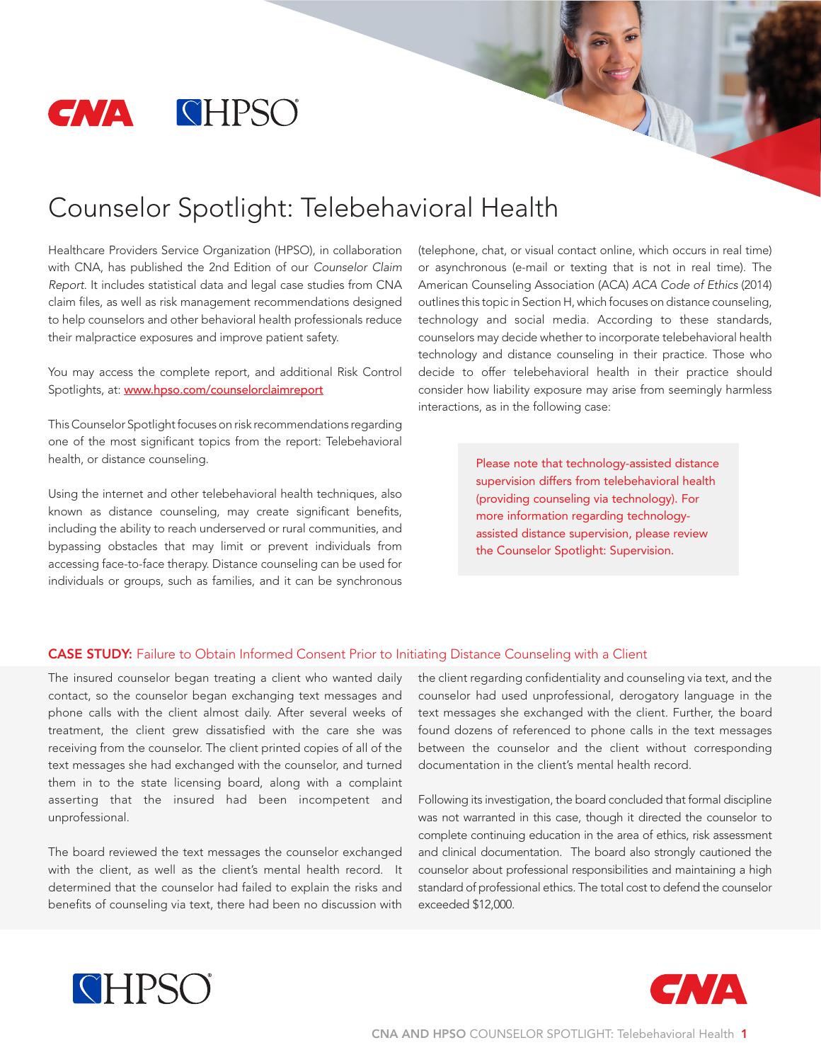

# Counselor Spotlight: Telebehavioral Health

Healthcare Providers Service Organization (HPSO), in collaboration with CNA, has published the 2nd Edition of our *Counselor Claim Report*. It includes statistical data and legal case studies from CNA claim files, as well as risk management recommendations designed to help counselors and other behavioral health professionals reduce their malpractice exposures and improve patient safety.

You may access the complete report, and additional Risk Control Spotlights, at: www.hpso.com/counselorclaimreport

This Counselor Spotlight focuses on risk recommendations regarding one of the most significant topics from the report: Telebehavioral health, or distance counseling.

Using the internet and other telebehavioral health techniques, also known as distance counseling, may create significant benefits, including the ability to reach underserved or rural communities, and bypassing obstacles that may limit or prevent individuals from accessing face-to-face therapy. Distance counseling can be used for individuals or groups, such as families, and it can be synchronous

(telephone, chat, or visual contact online, which occurs in real time) or asynchronous (e-mail or texting that is not in real time). The American Counseling Association (ACA) *ACA Code of Ethics* (2014) outlines this topic in Section H, which focuses on distance counseling, technology and social media. According to these standards, counselors may decide whether to incorporate telebehavioral health technology and distance counseling in their practice. Those who decide to offer telebehavioral health in their practice should consider how liability exposure may arise from seemingly harmless interactions, as in the following case:

> Please note that technology-assisted distance supervision differs from telebehavioral health (providing counseling via technology). For more information regarding technologyassisted distance supervision, please review the Counselor Spotlight: Supervision.

#### CASE STUDY: Failure to Obtain Informed Consent Prior to Initiating Distance Counseling with a Client

The insured counselor began treating a client who wanted daily contact, so the counselor began exchanging text messages and phone calls with the client almost daily. After several weeks of treatment, the client grew dissatisfied with the care she was receiving from the counselor. The client printed copies of all of the text messages she had exchanged with the counselor, and turned them in to the state licensing board, along with a complaint asserting that the insured had been incompetent and unprofessional.

The board reviewed the text messages the counselor exchanged with the client, as well as the client's mental health record. It determined that the counselor had failed to explain the risks and benefits of counseling via text, there had been no discussion with the client regarding confidentiality and counseling via text, and the counselor had used unprofessional, derogatory language in the text messages she exchanged with the client. Further, the board found dozens of referenced to phone calls in the text messages between the counselor and the client without corresponding documentation in the client's mental health record.

Following its investigation, the board concluded that formal discipline was not warranted in this case, though it directed the counselor to complete continuing education in the area of ethics, risk assessment and clinical documentation. The board also strongly cautioned the counselor about professional responsibilities and maintaining a high standard of professional ethics. The total cost to defend the counselor exceeded \$12,000.



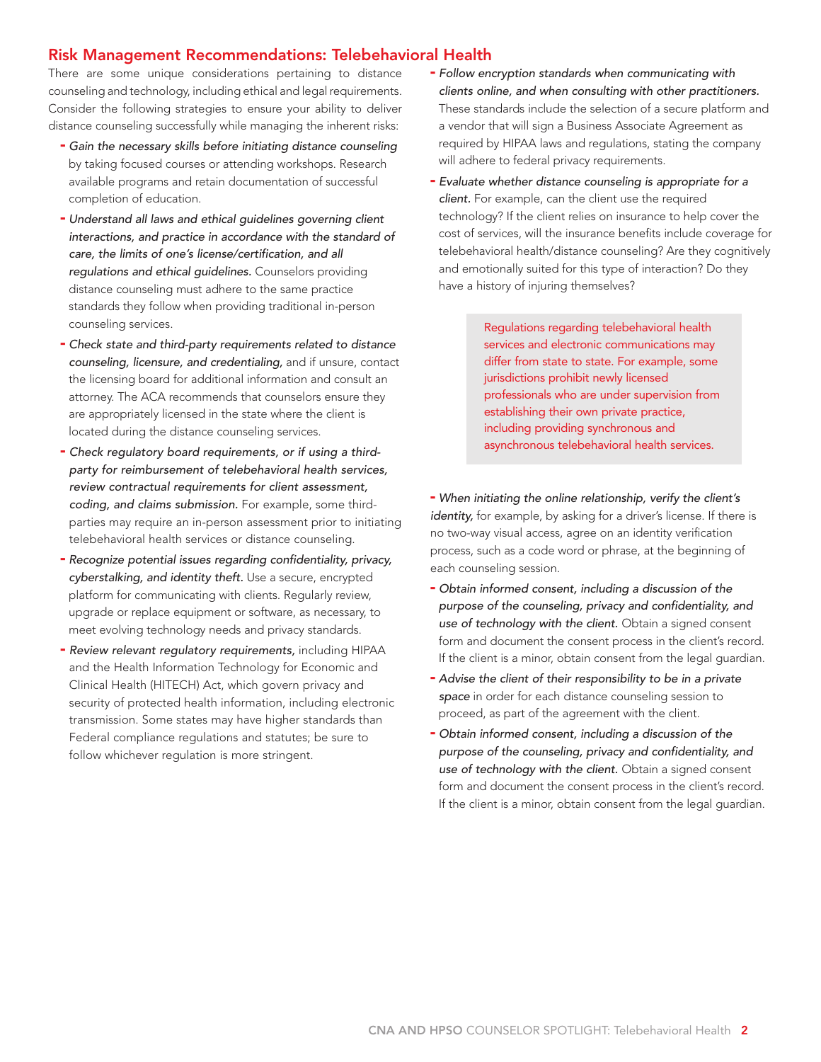### Risk Management Recommendations: Telebehavioral Health

There are some unique considerations pertaining to distance counseling and technology, including ethical and legal requirements. Consider the following strategies to ensure your ability to deliver distance counseling successfully while managing the inherent risks:

- *Gain the necessary skills before initiating distance counseling*  by taking focused courses or attending workshops. Research available programs and retain documentation of successful completion of education.
- *Understand all laws and ethical guidelines governing client interactions, and practice in accordance with the standard of care, the limits of one's license/certification, and all regulations and ethical guidelines.* Counselors providing distance counseling must adhere to the same practice standards they follow when providing traditional in-person counseling services.
- *Check state and third-party requirements related to distance counseling, licensure, and credentialing,* and if unsure, contact the licensing board for additional information and consult an attorney. The ACA recommends that counselors ensure they are appropriately licensed in the state where the client is located during the distance counseling services.
- *Check regulatory board requirements, or if using a thirdparty for reimbursement of telebehavioral health services, review contractual requirements for client assessment, coding, and claims submission.* For example, some thirdparties may require an in-person assessment prior to initiating telebehavioral health services or distance counseling.
- *Recognize potential issues regarding confidentiality, privacy, cyberstalking, and identity theft.* Use a secure, encrypted platform for communicating with clients. Regularly review, upgrade or replace equipment or software, as necessary, to meet evolving technology needs and privacy standards.
- *Review relevant regulatory requirements,* including HIPAA and the Health Information Technology for Economic and Clinical Health (HITECH) Act, which govern privacy and security of protected health information, including electronic transmission. Some states may have higher standards than Federal compliance regulations and statutes; be sure to follow whichever regulation is more stringent.
- *Follow encryption standards when communicating with clients online, and when consulting with other practitioners.* These standards include the selection of a secure platform and a vendor that will sign a Business Associate Agreement as required by HIPAA laws and regulations, stating the company will adhere to federal privacy requirements.
- *Evaluate whether distance counseling is appropriate for a client.* For example, can the client use the required technology? If the client relies on insurance to help cover the cost of services, will the insurance benefits include coverage for telebehavioral health/distance counseling? Are they cognitively and emotionally suited for this type of interaction? Do they have a history of injuring themselves?

Regulations regarding telebehavioral health services and electronic communications may differ from state to state. For example, some jurisdictions prohibit newly licensed professionals who are under supervision from establishing their own private practice, including providing synchronous and asynchronous telebehavioral health services.

- *When initiating the online relationship, verify the client's identity*, for example, by asking for a driver's license. If there is no two-way visual access, agree on an identity verification process, such as a code word or phrase, at the beginning of each counseling session.

- *Obtain informed consent, including a discussion of the purpose of the counseling, privacy and confidentiality, and use of technology with the client.* Obtain a signed consent form and document the consent process in the client's record. If the client is a minor, obtain consent from the legal guardian.
- *Advise the client of their responsibility to be in a private space* in order for each distance counseling session to proceed, as part of the agreement with the client.
- *Obtain informed consent, including a discussion of the purpose of the counseling, privacy and confidentiality, and use of technology with the client.* Obtain a signed consent form and document the consent process in the client's record. If the client is a minor, obtain consent from the legal guardian.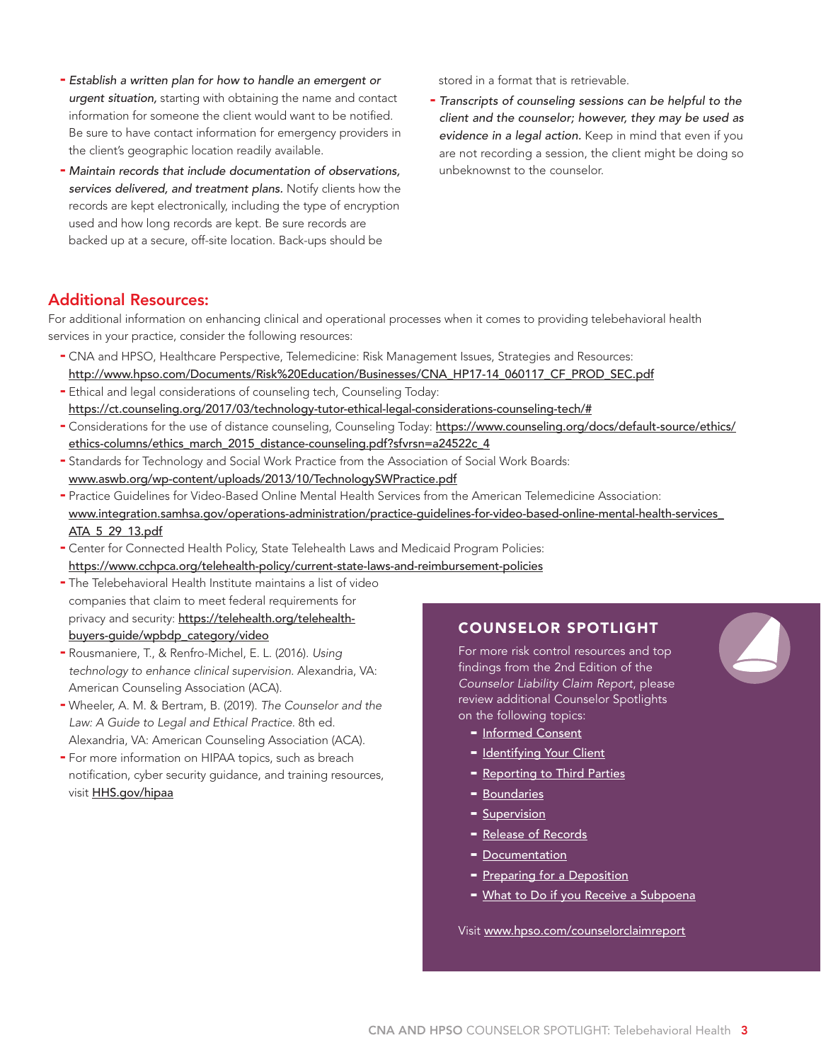- *Establish a written plan for how to handle an emergent or urgent situation,* starting with obtaining the name and contact information for someone the client would want to be notified. Be sure to have contact information for emergency providers in the client's geographic location readily available.
- *Maintain records that include documentation of observations, services delivered, and treatment plans.* Notify clients how the records are kept electronically, including the type of encryption used and how long records are kept. Be sure records are backed up at a secure, off-site location. Back-ups should be

stored in a format that is retrievable.

- *Transcripts of counseling sessions can be helpful to the client and the counselor; however, they may be used as evidence in a legal action.* Keep in mind that even if you are not recording a session, the client might be doing so unbeknownst to the counselor.

### Additional Resources:

For additional information on enhancing clinical and operational processes when it comes to providing telebehavioral health services in your practice, consider the following resources:

- CNA and HPSO, Healthcare Perspective, Telemedicine: Risk Management Issues, Strategies and Resources: http://www.hpso.com/Documents/Risk%20Education/Businesses/CNA\_HP17-14\_060117\_CF\_PROD\_SEC.pdf
- Ethical and legal considerations of counseling tech, Counseling Today: https://ct.counseling.org/2017/03/technology-tutor-ethical-legal-considerations-counseling-tech/#
- Considerations for the use of distance counseling, Counseling Today: https://www.counseling.org/docs/default-source/ethics/ ethics-columns/ethics\_march\_2015\_distance-counseling.pdf?sfvrsn=a24522c\_4
- Standards for Technology and Social Work Practice from the Association of Social Work Boards: www.aswb.org/wp-content/uploads/2013/10/TechnologySWPractice.pdf
- Practice Guidelines for Video-Based Online Mental Health Services from the American Telemedicine Association: www.integration.samhsa.gov/operations-administration/practice-guidelines-for-video-based-online-mental-health-services\_ ATA\_5\_29\_13.pdf
- Center for Connected Health Policy, State Telehealth Laws and Medicaid Program Policies: https://www.cchpca.org/telehealth-policy/current-state-laws-and-reimbursement-policies
- The Telebehavioral Health Institute maintains a list of video companies that claim to meet federal requirements for privacy and security: https://telehealth.org/telehealthbuyers-guide/wpbdp\_category/video
- Rousmaniere, T., & Renfro-Michel, E. L. (2016). *Using technology to enhance clinical supervision.* Alexandria, VA: American Counseling Association (ACA).
- Wheeler, A. M. & Bertram, B. (2019). *The Counselor and the Law: A Guide to Legal and Ethical Practice.* 8th ed. Alexandria, VA: American Counseling Association (ACA).
- For more information on HIPAA topics, such as breach notification, cyber security guidance, and training resources, visit [HHS.gov/hipaa](https://www.hhs.gov/hipaa/index.html)

## COUNSELOR SPOTLIGHT

For more risk control resources and top findings from the 2nd Edition of the *Counselor Liability Claim Report*, please review additional Counselor Spotlights on the following topics:

- [Informed Consent](http://www.hpso.com/counselorclaimreport_informedconsent)
- [Identifying Your Client](http://www.hpso.com/counselorclaimreport_client)
- [Reporting to Third Parties](http://www.hpso.com/counselorclaimreport_thirdparties)
- [Boundaries](http://www.hpso.com/counselorclaimreport_boundaries)
- **[Supervision](http://www.hpso.com/counselorclaimreport_supervision)**
- [Release of Records](http://www.hpso.com/counselorclaimreport_records)
- [Documentation](http://www.hpso.com/counselorclaimreport_documentation)
- [Preparing for a Deposition](http://www.hpso.com/counselorclaimreport_preparedepo)
- [What to Do if you Receive a Subpoena](http://www.hpso.com/counselorclaimreport_subpoena)

Visit [www.hpso.com/counselorclaimreport](http://www.hpso.com/counselorclaimreport)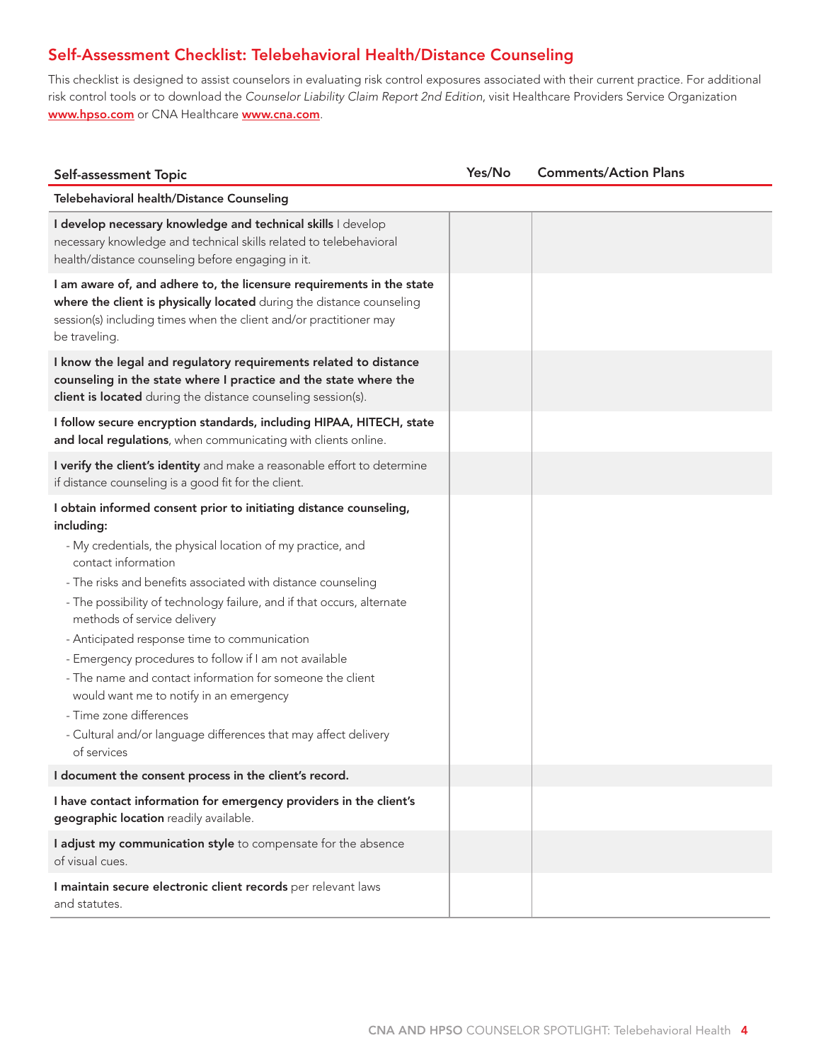## Self-Assessment Checklist: Telebehavioral Health/Distance Counseling

This checklist is designed to assist counselors in evaluating risk control exposures associated with their current practice. For additional risk control tools or to download the *Counselor Liability Claim Report 2nd Edition*, visit Healthcare Providers Service Organization www.hpso.com or CNA Healthcare www.cna.com.

| Self-assessment Topic                                                                                                                                                                                                                                                                                                                                                                                                                                                                                                                                                                                                                                                          | Yes/No | <b>Comments/Action Plans</b> |
|--------------------------------------------------------------------------------------------------------------------------------------------------------------------------------------------------------------------------------------------------------------------------------------------------------------------------------------------------------------------------------------------------------------------------------------------------------------------------------------------------------------------------------------------------------------------------------------------------------------------------------------------------------------------------------|--------|------------------------------|
| Telebehavioral health/Distance Counseling                                                                                                                                                                                                                                                                                                                                                                                                                                                                                                                                                                                                                                      |        |                              |
| I develop necessary knowledge and technical skills I develop<br>necessary knowledge and technical skills related to telebehavioral<br>health/distance counseling before engaging in it.                                                                                                                                                                                                                                                                                                                                                                                                                                                                                        |        |                              |
| I am aware of, and adhere to, the licensure requirements in the state<br>where the client is physically located during the distance counseling<br>session(s) including times when the client and/or practitioner may<br>be traveling.                                                                                                                                                                                                                                                                                                                                                                                                                                          |        |                              |
| I know the legal and regulatory requirements related to distance<br>counseling in the state where I practice and the state where the<br>client is located during the distance counseling session(s).                                                                                                                                                                                                                                                                                                                                                                                                                                                                           |        |                              |
| I follow secure encryption standards, including HIPAA, HITECH, state<br>and local regulations, when communicating with clients online.                                                                                                                                                                                                                                                                                                                                                                                                                                                                                                                                         |        |                              |
| I verify the client's identity and make a reasonable effort to determine<br>if distance counseling is a good fit for the client.                                                                                                                                                                                                                                                                                                                                                                                                                                                                                                                                               |        |                              |
| I obtain informed consent prior to initiating distance counseling,<br>including:<br>- My credentials, the physical location of my practice, and<br>contact information<br>- The risks and benefits associated with distance counseling<br>- The possibility of technology failure, and if that occurs, alternate<br>methods of service delivery<br>- Anticipated response time to communication<br>- Emergency procedures to follow if I am not available<br>- The name and contact information for someone the client<br>would want me to notify in an emergency<br>- Time zone differences<br>- Cultural and/or language differences that may affect delivery<br>of services |        |                              |
| I document the consent process in the client's record.                                                                                                                                                                                                                                                                                                                                                                                                                                                                                                                                                                                                                         |        |                              |
| I have contact information for emergency providers in the client's<br>geographic location readily available.                                                                                                                                                                                                                                                                                                                                                                                                                                                                                                                                                                   |        |                              |
| I adjust my communication style to compensate for the absence<br>of visual cues.                                                                                                                                                                                                                                                                                                                                                                                                                                                                                                                                                                                               |        |                              |
| I maintain secure electronic client records per relevant laws<br>and statutes.                                                                                                                                                                                                                                                                                                                                                                                                                                                                                                                                                                                                 |        |                              |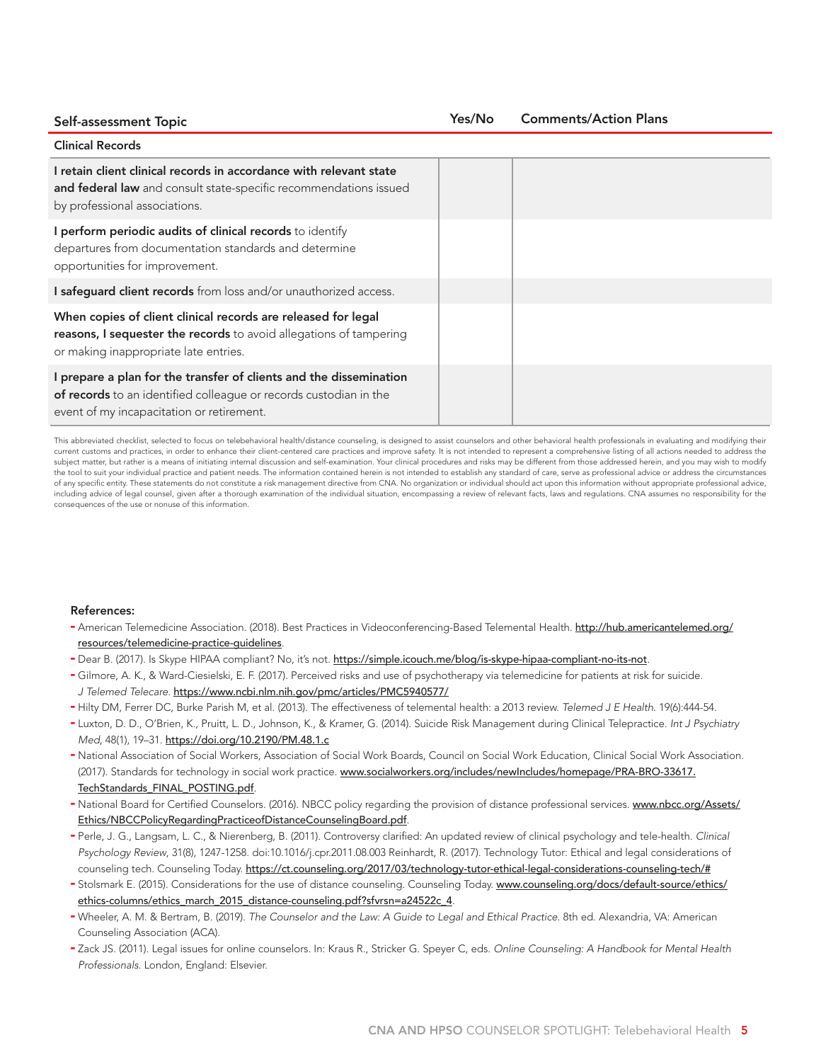Self-assessment Topic Clinical Records I retain client clinical records in accordance with relevant state and federal law and consult state-specific recommendations issued by professional associations. I perform periodic audits of clinical records to identify departures from documentation standards and determine opportunities for improvement. I safequard client records from loss and/or unauthorized access. When copies of client clinical records are released for legal reasons, I sequester the records to avoid allegations of tampering or making inappropriate late entries. I prepare a plan for the transfer of clients and the dissemination of records to an identified colleague or records custodian in the event of my incapacitation or retirement. Yes/No Comments/Action Plans

This abbreviated checklist, selected to focus on telebehavioral health/distance counseling, is designed to assist counselors and other behavioral health professionals in evaluating and modifying their current customs and practices, in order to enhance their client-centered care practices and improve safety. It is not intended to represent a comprehensive listing of all actions needed to address the subject matter, but rather is a means of initiating internal discussion and self-examination. Your clinical procedures and risks may be different from those addressed herein, and you may wish to modify the tool to suit your individual practice and patient needs. The information contained herein is not intended to establish any standard of care, serve as professional advice or address the circumstances of any specific entity. These statements do not constitute a risk management directive from CNA. No organization or individual should act upon this information without appropriate professional advice, including advice of legal counsel, given after a thorough examination of the individual situation, encompassing a review of relevant facts, laws and regulations. CNA assumes no responsibility for the consequences of the use or nonuse of this information.

#### References:

- American Telemedicine Association. (2018). Best Practices in Videoconferencing-Based Telemental Health. http://hub.americantelemed.org/ resources/telemedicine-practice-guidelines.
- Dear B. (2017). Is Skype HIPAA compliant? No, it's not. https://simple.icouch.me/blog/is-skype-hipaa-compliant-no-its-not.
- Gilmore, A. K., & Ward-Ciesielski, E. F. (2017). Perceived risks and use of psychotherapy via telemedicine for patients at risk for suicide. *J Telemed Telecare*. https://www.ncbi.nlm.nih.gov/pmc/articles/PMC5940577/
- Hilty DM, Ferrer DC, Burke Parish M, et al. (2013). The effectiveness of telemental health: a 2013 review. *Telemed J E Health*. 19(6):444-54.
- Luxton, D. D., O'Brien, K., Pruitt, L. D., Johnson, K., & Kramer, G. (2014). Suicide Risk Management during Clinical Telepractice. *Int J Psychiatry Med*, 48(1), 19–31. https://doi.org/10.2190/PM.48.1.c
- National Association of Social Workers, Association of Social Work Boards, Council on Social Work Education, Clinical Social Work Association. (2017). Standards for technology in social work practice. www.socialworkers.org/includes/newIncludes/homepage/PRA-BRO-33617. TechStandards\_FINAL\_POSTING.pdf.
- National Board for Certified Counselors. (2016). NBCC policy regarding the provision of distance professional services. www.nbcc.org/Assets/ Ethics/NBCCPolicyRegardingPracticeofDistanceCounselingBoard.pdf.
- Perle, J. G., Langsam, L. C., & Nierenberg, B. (2011). Controversy clarified: An updated review of clinical psychology and tele-health. *Clinical Psychology Review*, 31(8), 1247-1258. doi:10.1016/j.cpr.2011.08.003 Reinhardt, R. (2017). Technology Tutor: Ethical and legal considerations of counseling tech. Counseling Today. https://ct.counseling.org/2017/03/technology-tutor-ethical-legal-considerations-counseling-tech/#
- Stolsmark E. (2015). Considerations for the use of distance counseling. Counseling Today. www.counseling.org/docs/default-source/ethics/ ethics-columns/ethics\_march\_2015\_distance-counseling.pdf?sfvrsn=a24522c\_4.
- Wheeler, A. M. & Bertram, B. (2019). *The Counselor and the Law: A Guide to Legal and Ethical Practice*. 8th ed. Alexandria, VA: American Counseling Association (ACA).
- Zack JS. (2011). Legal issues for online counselors. In: Kraus R., Stricker G. Speyer C, eds. *Online Counseling: A Handbook for Mental Health Professionals*. London, England: Elsevier.